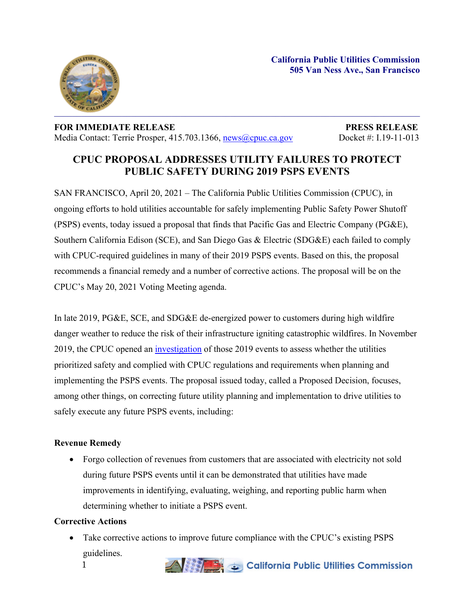

## **FOR IMMEDIATE RELEASE PRESS RELEASE** Media Contact: Terrie Prosper, 415.703.1366, [news@cpuc.ca.gov](mailto:news@cpuc.ca.gov) Docket #: I.19-11-013

# **CPUC PROPOSAL ADDRESSES UTILITY FAILURES TO PROTECT PUBLIC SAFETY DURING 2019 PSPS EVENTS**

SAN FRANCISCO, April 20, 2021 – The California Public Utilities Commission (CPUC), in ongoing efforts to hold utilities accountable for safely implementing Public Safety Power Shutoff (PSPS) events, today issued a proposal that finds that Pacific Gas and Electric Company (PG&E), Southern California Edison (SCE), and San Diego Gas & Electric (SDG&E) each failed to comply with CPUC-required guidelines in many of their 2019 PSPS events. Based on this, the proposal recommends a financial remedy and a number of corrective actions. The proposal will be on the CPUC's May 20, 2021 Voting Meeting agenda.

In late 2019, PG&E, SCE, and SDG&E de-energized power to customers during high wildfire danger weather to reduce the risk of their infrastructure igniting catastrophic wildfires. In November 2019, the CPUC opened an [investigation](https://docs.cpuc.ca.gov/PublishedDocs/Published/G000/M319/K821/319821875.PDF) of those 2019 events to assess whether the utilities prioritized safety and complied with CPUC regulations and requirements when planning and implementing the PSPS events. The proposal issued today, called a Proposed Decision, focuses, among other things, on correcting future utility planning and implementation to drive utilities to safely execute any future PSPS events, including:

# **Revenue Remedy**

• Forgo collection of revenues from customers that are associated with electricity not sold during future PSPS events until it can be demonstrated that utilities have made improvements in identifying, evaluating, weighing, and reporting public harm when determining whether to initiate a PSPS event.

#### **Corrective Actions**

1 • Take corrective actions to improve future compliance with the CPUC's existing PSPS guidelines.

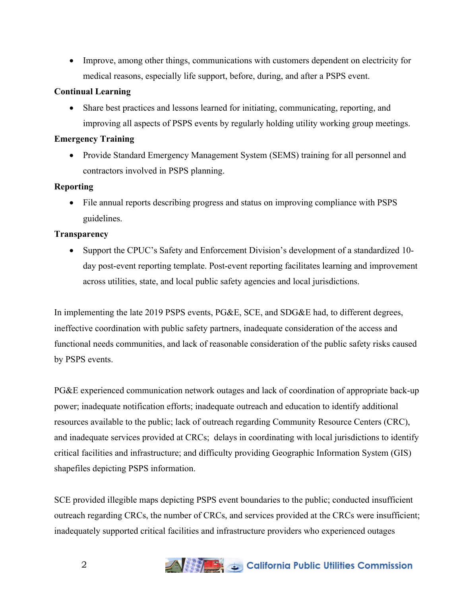• Improve, among other things, communications with customers dependent on electricity for medical reasons, especially life support, before, during, and after a PSPS event.

#### **Continual Learning**

 Share best practices and lessons learned for initiating, communicating, reporting, and improving all aspects of PSPS events by regularly holding utility working group meetings.

#### **Emergency Training**

 Provide Standard Emergency Management System (SEMS) training for all personnel and contractors involved in PSPS planning.

#### **Reporting**

 File annual reports describing progress and status on improving compliance with PSPS guidelines.

## **Transparency**

 Support the CPUC's Safety and Enforcement Division's development of a standardized 10 day post-event reporting template. Post-event reporting facilitates learning and improvement across utilities, state, and local public safety agencies and local jurisdictions.

In implementing the late 2019 PSPS events, PG&E, SCE, and SDG&E had, to different degrees, ineffective coordination with public safety partners, inadequate consideration of the access and functional needs communities, and lack of reasonable consideration of the public safety risks caused by PSPS events.

PG&E experienced communication network outages and lack of coordination of appropriate back-up power; inadequate notification efforts; inadequate outreach and education to identify additional resources available to the public; lack of outreach regarding Community Resource Centers (CRC), and inadequate services provided at CRCs; delays in coordinating with local jurisdictions to identify critical facilities and infrastructure; and difficulty providing Geographic Information System (GIS) shapefiles depicting PSPS information.

SCE provided illegible maps depicting PSPS event boundaries to the public; conducted insufficient outreach regarding CRCs, the number of CRCs, and services provided at the CRCs were insufficient; inadequately supported critical facilities and infrastructure providers who experienced outages

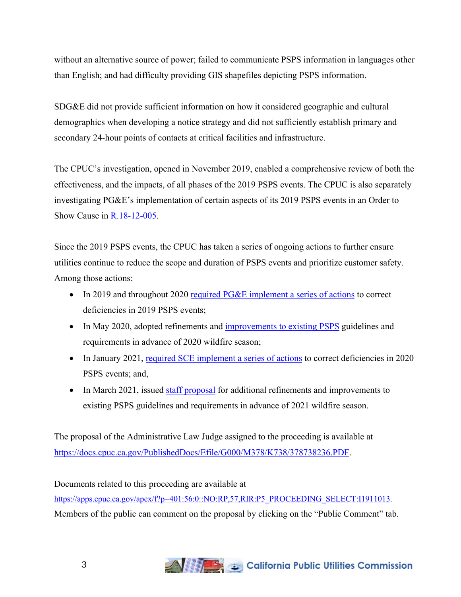without an alternative source of power; failed to communicate PSPS information in languages other than English; and had difficulty providing GIS shapefiles depicting PSPS information.

SDG&E did not provide sufficient information on how it considered geographic and cultural demographics when developing a notice strategy and did not sufficiently establish primary and secondary 24-hour points of contacts at critical facilities and infrastructure.

The CPUC's investigation, opened in November 2019, enabled a comprehensive review of both the effectiveness, and the impacts, of all phases of the 2019 PSPS events. The CPUC is also separately investigating PG&E's implementation of certain aspects of its 2019 PSPS events in an Order to Show Cause in [R.18-12-005.](https://apps.cpuc.ca.gov/apex/f?p=401:56:0::NO:RP,57,RIR:P5_PROCEEDING_SELECT:R1812005)

Since the 2019 PSPS events, the CPUC has taken a series of ongoing actions to further ensure utilities continue to reduce the scope and duration of PSPS events and prioritize customer safety. Among those actions:

- In 2019 and throughout 2020 required PG&E [implement](https://www.cpuc.ca.gov/uploadedFiles/CPUCWebsite/Content/News_Room/NewsUpdates/2019/PGE%20Letter%20-%20PSPS%2010-14-19.pdf) a series of actions to correct deficiencies in 2019 PSPS events;
- In May 2020, adopted refinements and [improvements](https://docs.cpuc.ca.gov/PublishedDocs/Published/G000/M339/K524/339524880.PDF) to existing PSPS guidelines and requirements in advance of 2020 wildfire season;
- In January 2021, required SCE [implement](https://www.cpuc.ca.gov/uploadedFiles/CPUCWebsite/Content/News_Room/NewsUpdates/2021/BATJER%20LETTER%20SCE%20PSPS%20EXECUTION%20Jan%2019%202021.pdf) a series of actions to correct deficiencies in 2020 PSPS events; and,
- In March 2021, issued staff [proposal](https://docs.cpuc.ca.gov/PublishedDocs/Published/G000/M367/K016/367016000.PDF) for additional refinements and improvements to existing PSPS guidelines and requirements in advance of 2021 wildfire season.

The proposal of the Administrative Law Judge assigned to the proceeding is available at [https://docs.cpuc.ca.gov/PublishedDocs/Efile/G000/M378/K738/378738236.PDF.](https://docs.cpuc.ca.gov/PublishedDocs/Efile/G000/M378/K738/378738236.PDF)

Documents related to this proceeding are available at [https://apps.cpuc.ca.gov/apex/f?p=401:56:0::NO:RP,57,RIR:P5\\_PROCEEDING\\_SELECT:I1911013](https://apps.cpuc.ca.gov/apex/f?p=401:56:0::NO:RP,57,RIR:P5_PROCEEDING_SELECT:I1911013). Members of the public can comment on the proposal by clicking on the "Public Comment" tab.